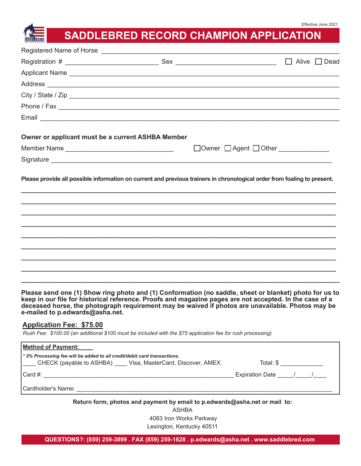# **SADDLEBRED RECORD CHAMPION APPLICATION**

|                                                   |                                                                                                                                                                                                                                      | Alive $\Box$ Dead<br>$\Box$          |
|---------------------------------------------------|--------------------------------------------------------------------------------------------------------------------------------------------------------------------------------------------------------------------------------------|--------------------------------------|
|                                                   | Applicant Name                                                                                                                                                                                                                       |                                      |
|                                                   |                                                                                                                                                                                                                                      |                                      |
|                                                   | City / State / Zip                                                                                                                                                                                                                   |                                      |
|                                                   |                                                                                                                                                                                                                                      |                                      |
|                                                   | Email <b>Executive Contract Contract Contract Contract Contract Contract Contract Contract Contract Contract Contract Contract Contract Contract Contract Contract Contract Contract Contract Contract Contract Contract Contrac</b> |                                      |
| Owner or applicant must be a current ASHBA Member |                                                                                                                                                                                                                                      |                                      |
| Member Name                                       |                                                                                                                                                                                                                                      | □Owner □ Agent □ Other _____________ |
|                                                   |                                                                                                                                                                                                                                      |                                      |
|                                                   | Please provide all possible information on current and previous trainers in chronological order from foaling to present.                                                                                                             |                                      |
|                                                   |                                                                                                                                                                                                                                      |                                      |
|                                                   |                                                                                                                                                                                                                                      |                                      |
|                                                   |                                                                                                                                                                                                                                      |                                      |
|                                                   |                                                                                                                                                                                                                                      |                                      |
|                                                   |                                                                                                                                                                                                                                      |                                      |

**Please send one (1) Show ring photo and (1) Conformation (no saddle, sheet or blanket) photo for us to keep in our file for historical reference. Proofs and magazine pages are not accepted. In the case of a deceased horse, the photograph requirement may be waived if photos are unavailable. Photos may be e-mailed to p.edwards@asha.net.**

### **Application Fee: \$75.00**

*Rush Fee: \$100.00 (an additional \$100 must be included with the \$75 application fee for rush processing)*

| <b>Method of Payment:</b>                                                                                                            |                     |  |
|--------------------------------------------------------------------------------------------------------------------------------------|---------------------|--|
| *3% Processing fee will be added to all credit/debit card transactions.<br>CHECK (payable to ASHBA) Visa, MasterCard, Discover, AMEX | Total: \$           |  |
| ICard #:                                                                                                                             | Expiration Date / / |  |
| l Cardholder's Name: I                                                                                                               |                     |  |
|                                                                                                                                      |                     |  |

**Return form, photos and payment by email to p.edwards@asha.net or mail to:**

ASHBA 4083 Iron Works Parkway Lexington, Kentucky 40511

**QUESTIONS?: (859) 259-3899 . FAX (859) 259-1628 . p.edwards@asha.net . www.saddlebred.com**